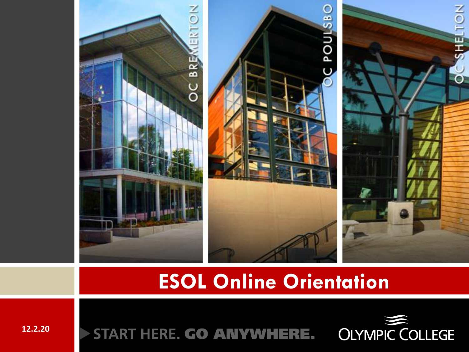

#### **ESOL Online Orientation**



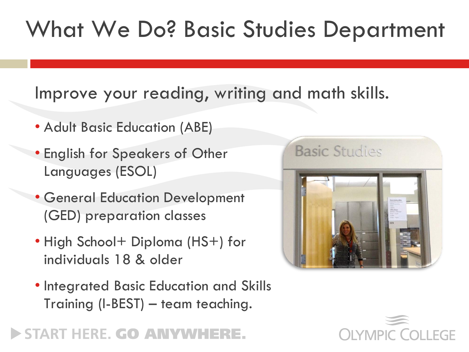### What We Do? Basic Studies Department

#### Improve your reading, writing and math skills.

- Adult Basic Education (ABE)
- English for Speakers of Other Languages (ESOL)
- General Education Development (GED) preparation classes
- High School+ Diploma (HS+) for individuals 18 & older
- Integrated Basic Education and Skills Training (I-BEST) – team teaching.



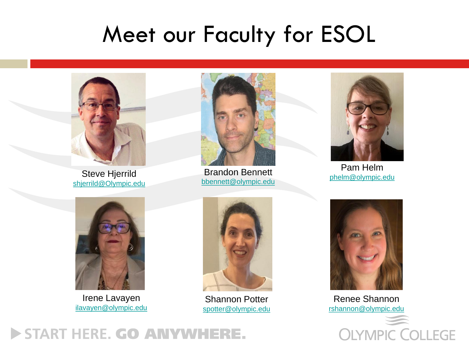### Meet our Faculty for ESOL



Steve Hjerrild [shjerrild@Olympic.edu](mailto:shjerrild@Olympic.edu)



Brandon Bennett [bbennett@olympic.edu](mailto:bbennett@olympic.edu)



Pam Helm [phelm@olympic.edu](mailto:phelm@olympic.edu)



Irene Lavayen [ilavayen@olympic.edu](mailto:ilavayen@olympic.edu)



Shannon Potter [spotter@olympic.edu](mailto:spotter@olympic.edu)



Renee Shannon [rshannon@olympic.edu](mailto:rshannon@olympic.edu)

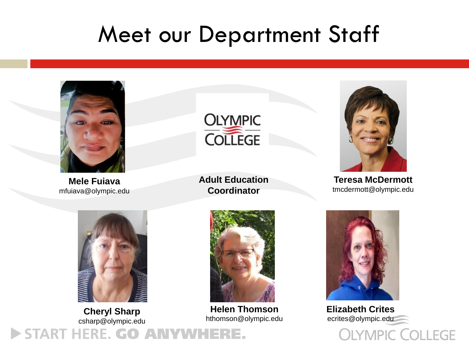### Meet our Department Staff



**Mele Fuiava** mfuiava@olympic.edu



**Adult Education Coordinator**



**Teresa McDermott** tmcdermott@olympic.edu



**Cheryl Sharp** csharp@olympic.edu START HERE. GO ANYWHERE.



**Helen Thomson** hthomson@olympic.edu



**Elizabeth Crites** ecrites@olympic.edu**OLYMPIC COLLEGE**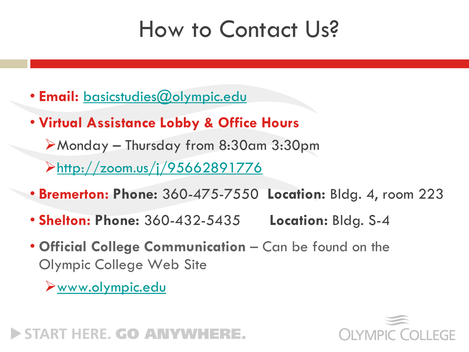### How to Contact Us?

- **Email:** [basicstudies@olympic.edu](mailto:basicstudies@olympic.edu)
- **Virtual Assistance Lobby & Office Hours**

➢Monday – Thursday from 8:30am 3:30pm

➢<http://zoom.us/j/95662891776>

- **Bremerton: Phone:** 360-475-7550 **Location:** Bldg. 4, room 223
- **Shelton: Phone:** 360-432-5435 **Location:** Bldg. S-4
- **Official College Communication**  Can be found on the Olympic College Web Site

➢[www.olympic.edu](http://www.olympic.edu/)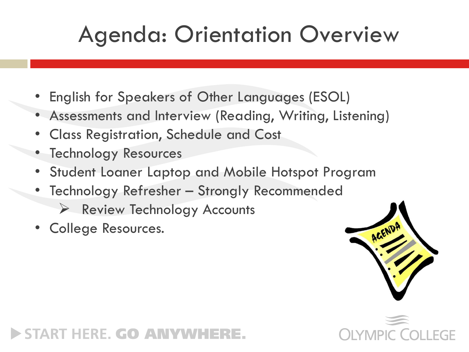## Agenda: Orientation Overview

- English for Speakers of Other Languages (ESOL)
- Assessments and Interview (Reading, Writing, Listening)
- Class Registration, Schedule and Cost
- Technology Resources
- Student Loaner Laptop and Mobile Hotspot Program
- Technology Refresher Strongly Recommended
	- $\triangleright$  Review Technology Accounts
- College Resources.



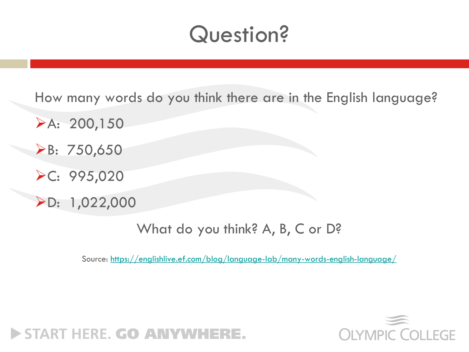### Question?

How many words do you think there are in the English language?

- $\blacktriangleright$ A: 200,150
- ➢B: 750,650
- ➢C: 995,020
- ➢D: 1,022,000

What do you think? A, B, C or D?

Source: <https://englishlive.ef.com/blog/language-lab/many-words-english-language/>

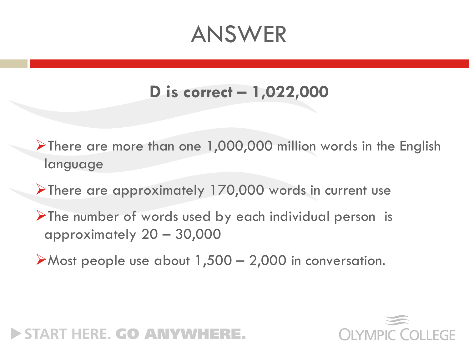### ANSWER

#### **D is correct – 1,022,000**

- ➢There are more than one 1,000,000 million words in the English language
- ➢There are approximately 170,000 words in current use
- ➢The number of words used by each individual person is approximately 20 – 30,000
- $\triangleright$  Most people use about 1,500 2,000 in conversation.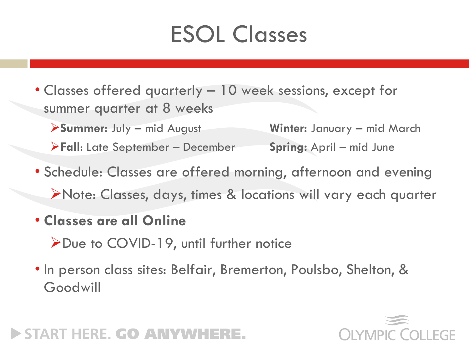## ESOL Classes

- Classes offered quarterly 10 week sessions, except for summer quarter at 8 weeks
	- ➢**Summer:** July mid August **Winter:** January mid March
	- ➢**Fall**: Late September December **Spring:** April mid June
- Schedule: Classes are offered morning, afternoon and evening ➢Note: Classes, days, times & locations will vary each quarter
- **Classes are all Online**
	- ➢Due to COVID-19, until further notice
- In person class sites: Belfair, Bremerton, Poulsbo, Shelton, & Goodwill

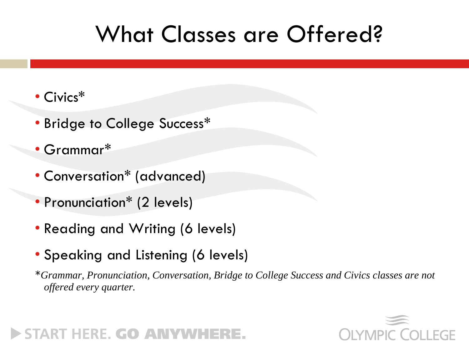### What Classes are Offered?

- Civics\*
- Bridge to College Success\*
- Grammar\*
- Conversation\* (advanced)
- Pronunciation\* (2 levels)
- Reading and Writing (6 levels)
- Speaking and Listening (6 levels)

\**Grammar, Pronunciation, Conversation, Bridge to College Success and Civics classes are not offered every quarter.* 

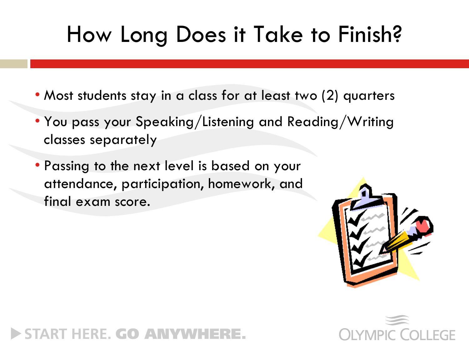### How Long Does it Take to Finish?

- Most students stay in a class for at least two (2) quarters
- You pass your Speaking/Listening and Reading/Writing classes separately
- Passing to the next level is based on your attendance, participation, homework, and final exam score.



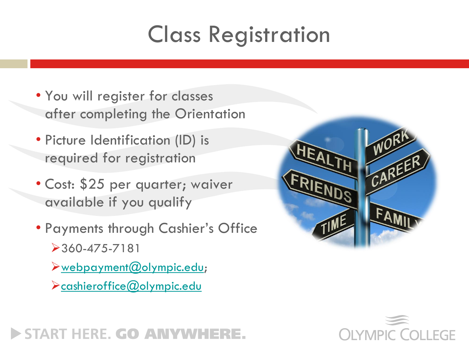## Class Registration

- You will register for classes after completing the Orientation
- Picture Identification (ID) is required for registration
- Cost: \$25 per quarter; waiver available if you qualify
- Payments through Cashier's Office ➢360-475-7181
	- ➢[webpayment@olympic.edu;](mailto:webpayment@olympic.edu)
	- ➢[cashieroffice@olympic.edu](mailto:cashieroffice@olympic.edu)



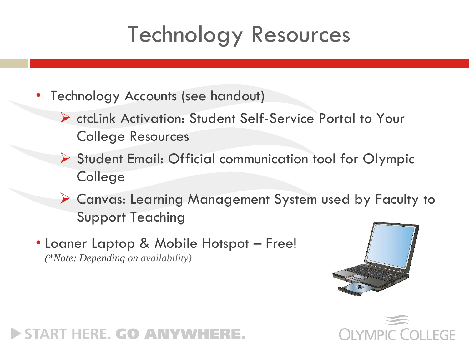### Technology Resources

- Technology Accounts (see handout)
	- ➢ ctcLink Activation: Student Self-Service Portal to Your College Resources
	- ➢ Student Email: Official communication tool for Olympic College
	- ➢ Canvas: Learning Management System used by Faculty to Support Teaching
- Loaner Laptop & Mobile Hotspot Free! *(\*Note: Depending on availability)*



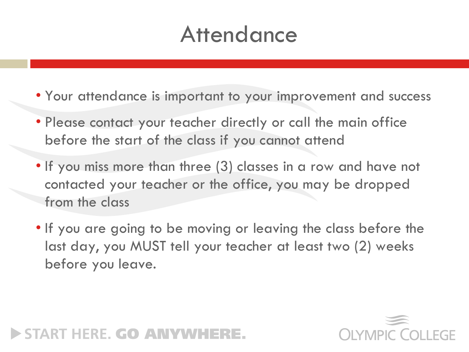### **Attendance**

- Your attendance is important to your improvement and success
- Please contact your teacher directly or call the main office before the start of the class if you cannot attend
- If you miss more than three (3) classes in a row and have not contacted your teacher or the office, you may be dropped from the class
- If you are going to be moving or leaving the class before the last day, you MUST tell your teacher at least two (2) weeks before you leave.



#### START HERE. GO ANYWHI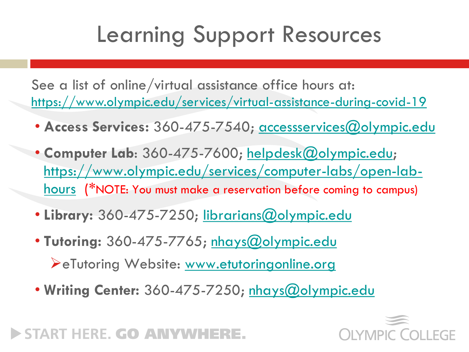### Learning Support Resources

See a list of online/virtual assistance office hours at: <https://www.olympic.edu/services/virtual-assistance-during-covid-19>

- **Access Services:** 360-475-7540; [accessservices@olympic.edu](mailto:accessservices@olympic.edu)
- Computer Lab: 360-475-7600; [helpdesk@olympic.edu;](mailto:helpdesk@olympic.edu) [https://www.olympic.edu/services/computer-labs/open-lab](https://www.olympic.edu/services/computer-labs/open-lab-hours)hours (\*NOTE: You must make a reservation before coming to campus)
- Library: 360-475-7250; [librarians@olympic.edu](mailto:librarians@olympic.edu)
- **Tutoring:** 360-475-7765; [nhays@olympic.edu](mailto:nhays@olympic.edu)

➢eTutoring Website: [www.etutoringonline.org](http://www.etutoringonline.org/)

• **Writing Center:** 360-475-7250; [nhays@olympic.edu](mailto:nhays@olympic.edu)

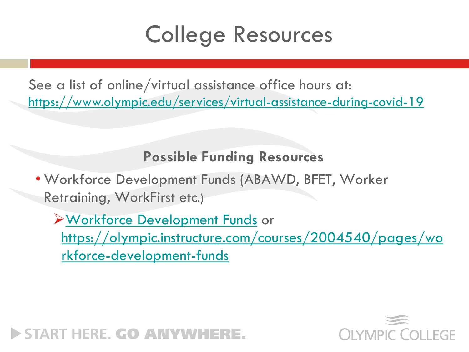### College Resources

See a list of online/virtual assistance office hours at: <https://www.olympic.edu/services/virtual-assistance-during-covid-19>

#### **Possible Funding Resources**

• Workforce Development Funds (ABAWD, BFET, Worker Retraining, WorkFirst etc.)

➢[Workforce Development Funds](https://olympic.instructure.com/courses/2004540/pages/workforce-development-funds) or [https://olympic.instructure.com/courses/2004540/pages/wo](https://olympic.instructure.com/courses/2004540/pages/workforce-development-funds) rkforce-development-funds

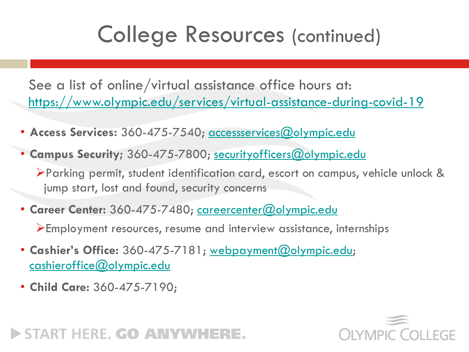### College Resources (continued)

See a list of online/virtual assistance office hours at: <https://www.olympic.edu/services/virtual-assistance-during-covid-19>

- **Access Services:** 360-475-7540; [accessservices@olympic.edu](mailto:accessservices@olympic.edu)
- **Campus Security;** 360-475-7800; [securityofficers@olympic.edu](mailto:securityofficers@olympic.edu)

➢Parking permit, student identification card, escort on campus, vehicle unlock & jump start, lost and found, security concerns

• **Career Center:** 360-475-7480; [careercenter@olympic.edu](mailto:careercenter@olympic.edu)

➢Employment resources, resume and interview assistance, internships

- **Cashier's Office:** 360-475-7181; [webpayment@olympic.edu](mailto:webpayment@olympic.edu); [cashieroffice@olympic.edu](mailto:cashieroffice@olympic.edu)
- **Child Care:** 360-475-7190;

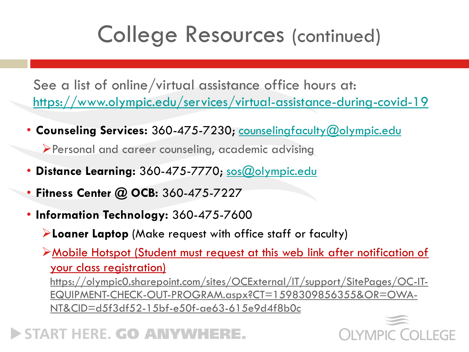### College Resources (continued)

See a list of online/virtual assistance office hours at: <https://www.olympic.edu/services/virtual-assistance-during-covid-19>

• **Counseling Services:** 360-475-7230; [counselingfaculty@olympic.edu](mailto:counselingfaculty@olympic.edu)

➢Personal and career counseling, academic advising

- **Distance Learning:** 360-475-7770; [sos@olympic.edu](mailto:sos@olympic.edu)
- **Fitness Center @ OCB:** 360-475-7227
- **Information Technology:** 360-475-7600
	- ➢**Loaner Laptop** (Make request with office staff or faculty)

➢Mobile Hotspot (Student must request at this web link after notification of your class registration)

[https://olympic0.sharepoint.com/sites/OCExternal/IT/support/SitePages/OC-IT-](https://olympic0.sharepoint.com/sites/OCExternal/IT/support/SitePages/OC-IT-EQUIPMENT-CHECK-OUT-PROGRAM.aspx?CT=1598309856355&OR=OWA-NT&CID=d5f3df52-15bf-e50f-ae63-615e9d4f8b0c)EQUIPMENT-CHECK-OUT-PROGRAM.aspx?CT=1598309856355&OR=OWA-NT&CID=d5f3df52-15bf-e50f-ae63-615e9d4f8b0c

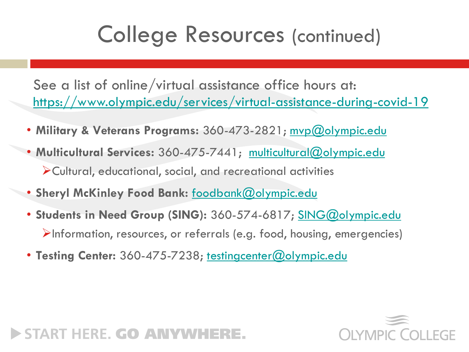### College Resources (continued)

See a list of online/virtual assistance office hours at: <https://www.olympic.edu/services/virtual-assistance-during-covid-19>

- Military & Veterans Programs: 360-473-2821; myp@olympic.edu
- **Multicultural Services:** 360-475-7441; [multicultural@olympic.edu](mailto:multicultural@olympic.edu) ➢Cultural, educational, social, and recreational activities
- **Sheryl McKinley Food Bank:** [foodbank@olympic.edu](mailto:foodbank@olympic.edu)
- **Students in Need Group (SING):** 360-574-6817; [SING@olympic.edu](mailto:SING@olympic.edu) ➢Information, resources, or referrals (e.g. food, housing, emergencies)
- **Testing Center:** 360-475-7238; [testingcenter@olympic.edu](mailto:testingcenter@olympic.edu)

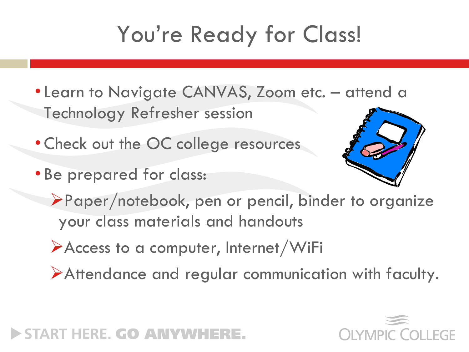## You're Ready for Class!

- Learn to Navigate CANVAS, Zoom etc. attend a Technology Refresher session
- •Check out the OC college resources
- Be prepared for class:



- ➢Paper/notebook, pen or pencil, binder to organize your class materials and handouts
- ➢Access to a computer, Internet/WiFi
- ➢Attendance and regular communication with faculty.



#### START HERE. GO ANYWHI